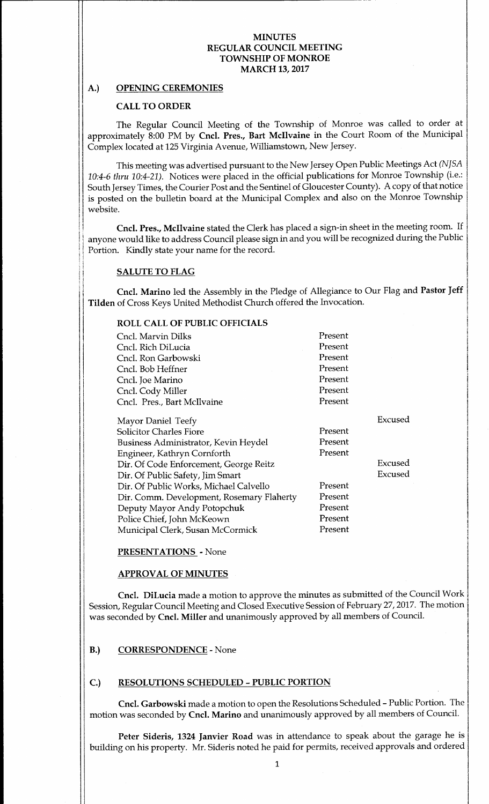# A.) OPENING CEREMONIES

### CALL TO ORDER

The Regular Council Meeting of the Township of Monroe was called to order at approximately 8:00 PM by Cncl. Pres., Bart Mcllvaine in the Court Room of the Municipal Complex located at 125 Virginia Avenue, Williamstown, New Jersey.

This meeting was advertised pursuant to the New Jersey Open Public Meetings Act (NJSA 10:4-6 thru 10:4-21). Notices were placed in the official publications for Monroe Township (i.e.: South Jersey Times, the Courier Post and the Sentinel of Gloucester County). A copy of that notice is posted on the bulletin board at the Municipal Complex and also on the Monroe Township website.

Cncl. Pres., Mcllvaine stated the Clerk has placed <sup>a</sup> sign-in sheet in the meeting room. If anyone would like to address Council please sign in and you will be recognized during the Public Portion. Kindly state your name for the record.

#### SALUTE TO FLAG

Cncl. Marino led the Assembly in the Pledge of Allegiance to Our Flag and Pastor Jeff Tilden of Cross Keys United Methodist Church offered the Invocation.

# ROLL CALL OF PUBLIC OFFICIALS

| Cncl. Marvin Dilks                        | Present |         |
|-------------------------------------------|---------|---------|
| Cncl. Rich DiLucia                        | Present |         |
| Cncl. Ron Garbowski                       | Present |         |
| Cncl. Bob Heffner                         | Present |         |
| Cncl. Joe Marino                          | Present |         |
| Cncl. Cody Miller                         | Present |         |
| Cncl. Pres., Bart McIlvaine               | Present |         |
| Mayor Daniel Teefy                        |         | Excused |
| <b>Solicitor Charles Fiore</b>            | Present |         |
| Business Administrator, Kevin Heydel      | Present |         |
| Engineer, Kathryn Cornforth               | Present |         |
| Dir. Of Code Enforcement, George Reitz    |         | Excused |
| Dir. Of Public Safety, Jim Smart          |         | Excused |
| Dir. Of Public Works, Michael Calvello    | Present |         |
| Dir. Comm. Development, Rosemary Flaherty | Present |         |
| Deputy Mayor Andy Potopchuk               | Present |         |
| Police Chief, John McKeown                | Present |         |
| Municipal Clerk, Susan McCormick          | Present |         |
|                                           |         |         |

#### PRESENTATIONS - None

#### APPROVAL OF MINUTES

Cncl. DiLucia made a motion to approve the minutes as submitted of the Council Work Session, Regular Council Meeting and Closed Executive Session of February 27, 2017. The motion was seconded by Cncl. Miller and unanimously approved by all members of Council.

### B.) CORRESPONDENCE- None

# C.) RESOLUTIONS SCHEDULED - PUBLIC PORTION

Cncl. Garbowski made a motion to open the Resolutions Scheduled- Public Portion. The motion was seconded by Cncl. Marino and unanimously approved by all members of Council.

Peter Sideris, 1324 Janvier Road was in attendance to speak about the garage he is building on his property. Mr. Sideris noted he paid for permits, received approvals and ordered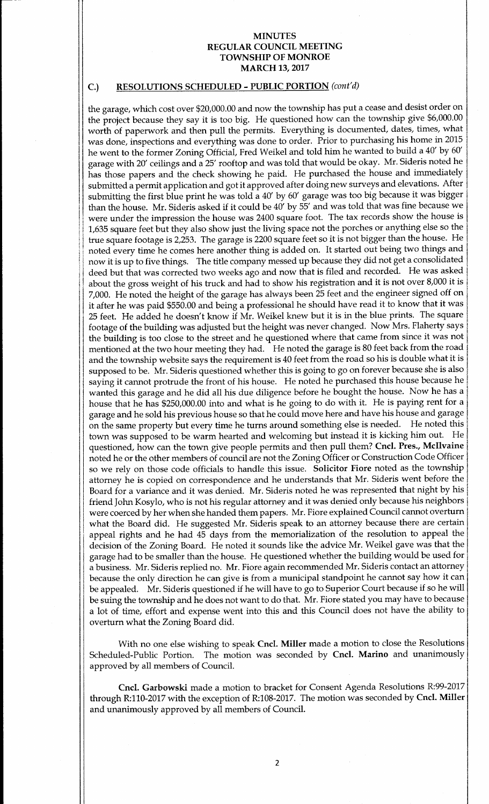# C.) RESOLUTIONS SCHEDULED - PUBLIC PORTION (cont'd)

the garage, which cost over \$20,000.00 and now the township has put a cease and desist order on the project because they say it is too big. He questioned how can the township give \$6,000.00 worth of paperwork and then pull the permits. Everything is documented, dates, times, what was done, inspections and everything was done to order. Prior to purchasing his home in 2015 he went to the former Zoning Official, Fred Weikel and told him he wanted to build <sup>a</sup> 40' by 60' garage with 20' ceilings and <sup>a</sup> 25' rooftop and was told that would be okay. Mr. Sideris noted he has those papers and the check showing he paid. He purchased the house and immediately submitted a permit application and got it approved after doing new surveys and elevations. After submitting the first blue print he was told <sup>a</sup> 40' by 60' garage was too big because it was bigger than the house. Mr. Sideris asked if it could be 40' by 55' and was told that was fine because we were under the impression the house was 2400 square foot. The tax records show the house is 1, 635 square feet but they also show just the living space not the porches or anything else so the true square footage is 2,253. The garage is 2200 square feet so it is not bigger than the house. He noted every time he comes here another thing is added on. It started out being two things and now it is up to five things. The title company messed up because they did not get <sup>a</sup> consolidated deed but that was corrected two weeks ago and now that is filed and recorded. He was asked about the gross weight of his truck and had to show his registration and it is not over 8,000 it is 7,000. He noted the height of the garage has always been 25 feet and the engineer signed off on it after he was paid \$550.00 and being <sup>a</sup> professional he should have read it to know that it was 25 feet. He added he doesn't know if Mr. Weikel knew but it is in the blue prints. The square footage of the building was adjusted but the height was never changed. Now Mrs. Flaherty says the building is too close to the street and he questioned where that came from since it was not mentioned at the two hour meeting they had. He noted the garage is <sup>80</sup> feet back from the road and the township website says the requirement is 40 feet from the road so his is double what it is supposed to be. Mr. Sideris questioned whether this is going to go on forever because she is also saying it cannot protrude the front of his house. He noted he purchased this house because he wanted this garage and he did all his due diligence before he bought the house. Now he has <sup>a</sup> house that he has \$250,000.00 into and what is he going to do with it. He is paying rent for a garage and he sold his previous house so that he could move here and have his house and garage on the same property but every time he turns around something else is needed. He noted this town was supposed to be warm hearted and welcoming but instead it is kicking him out. He questioned, how can the town give people permits and then pull them? Cncl. Pres., McIlvaine noted he or the other members of council are not the Zoning Officer or Construction Code Officer so we rely on those code officials to handle this issue. Solicitor Fiore noted as the township attorney he is copied on correspondence and he understands that Mr. Sideris went before the Board for <sup>a</sup> variance and it was denied. Mr. Sideris noted he was represented that night by his <sup>1</sup> friend John Kosylo, who is not his regular attorney and it was denied only because his neighbors <sup>1</sup> were coerced by her when she handed them papers. Mr. Fiore explained Council cannot overturn what the Board did. He suggested Mr. Sideris speak to an attorney because there are certain appeal rights and he had 45 days from the memorialization of the resolution to appeal the decision of the Zoning Board. He noted it sounds like the advice Mr. Weikel gave was that the garage had to be smaller than the house. He questioned whether the building would be used for a business. Mr. Sideris replied no. Mr. Fiore again recommended Mr. Sideris contact an attorney because the only direction he can give is from <sup>a</sup> municipal standpoint he cannot say how it can be appealed. Mr. Sideris questioned if he will have to go to Superior Court because if so he will be suing the township and he does not want to do that. Mr. Fiore stated you may have to because a lot of time, effort and expense went into this and this Council does not have the ability to overturn what the Zoning Board did.

With no one else wishing to speak Cncl. Miller made a motion to close the Resolutions Scheduled-Public Portion. The motion was seconded by Cncl. Marino and unanimously approved by all members of Council.

Cncl. Garbowski made a motion to bracket for Consent Agenda Resolutions R:99-2017 through R:110-2017 with the exception of R:108-2017. The motion was seconded by Cncl. Miller and unanimously approved by all members of Council.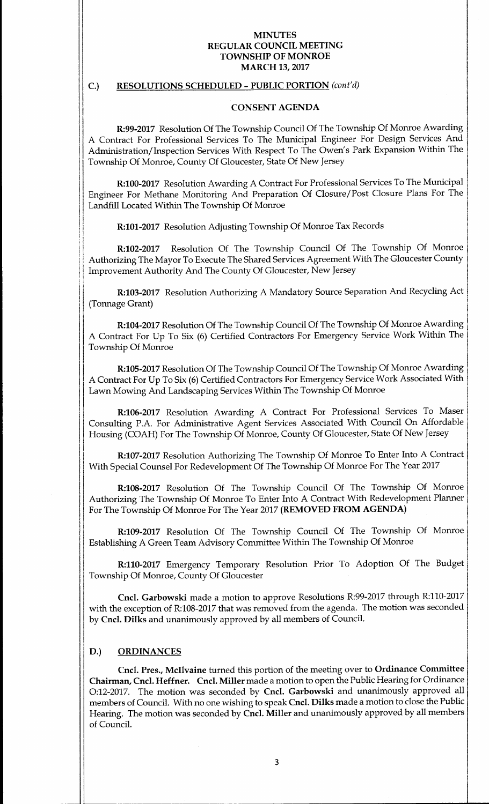# C.) RESOLUTIONS SCHEDULED - PUBLIC PORTION (cont'd)

#### CONSENT AGENDA

R:99-2017 Resolution Of The Township Council Of The Township Of Monroe Awarding A Contract For Professional Services To The Municipal Engineer For Design Services And Administration/Inspection Services With Respect To The Owen's Park Expansion Within The <sup>1</sup> Township Of Monroe, County Of Gloucester, State Of New Jersey

R:100-2017 Resolution Awarding A Contract For Professional Services To The Municipal Engineer For Methane Monitoring And Preparation Of Closure/ Post Closure Plans For The Landfill Located Within The Township Of Monroe

R:101-2017 Resolution Adjusting Township Of Monroe Tax Records

R:102-2017 Resolution Of The Township Council Of The Township Of Monroe Authorizing The Mayor To Execute The Shared Services Agreement With The Gloucester County Improvement Authority And The County Of Gloucester, New Jersey

R:103-2017 Resolution Authorizing A Mandatory Source Separation And Recycling Act Tonnage Grant)

R:104-2017 Resolution Of The Township Council Of The Township Of Monroe Awarding A Contract For Up To Six (6) Certified Contractors For Emergency Service Work Within The Township Of Monroe

R:105-2017 Resolution Of The Township Council Of The Township Of Monroe Awarding A Contract For Up To Six( 6) Certified Contractors For Emergency Service Work Associated With Lawn Mowing And Landscaping Services Within The Township Of Monroe

R:106-2017 Resolution Awarding A Contract For Professional Services To Maser Consulting P.A. For Administrative Agent Services Associated With Council On Affordable Housing (COAH) For The Township Of Monroe, County Of Gloucester, State Of New Jersey

R:107-2017 Resolution Authorizing The Township Of Monroe To Enter Into A Contract With Special Counsel For Redevelopment Of The Township Of Monroe For The Year 2017

8:108-2017 Resolution Of The Township Council Of The Township Of Monroe Authorizing The Township Of Monroe To Enter Into A Contract With Redevelopment Planner For The Township Of Monroe For The Year 2017 (REMOVED FROM AGENDA)

R:109-2017 Resolution Of The Township Council Of The Township Of Monroe Establishing A Green Team Advisory Committee Within The Township Of Monroe

R:110-2017 Emergency Temporary Resolution Prior To Adoption Of The Budget Township Of Monroe, County Of Gloucester

Cncl. Garbowski made a motion to approve Resolutions R:99-2017 through R:110-2017 with the exception of R:108-2017 that was removed from the agenda. The motion was seconded by Cncl. Dilks and unanimously approved by all members of Council.

### D.) ORDINANCES

 $\mathbf{f}$ 

Cncl. Pres., Mcllvaine turned this portion of the meeting over to Ordinance Committee Chairman, Cncl. Heffner. Cncl. Miller made <sup>a</sup> motion to open the Public Hearing for Ordinance 0:12-2017. The motion was seconded by Cncl. Garbowski and unanimously approved all members of Council. With no one wishing to speak Cncl. Dilks made a motion to close the Public Hearing. The motion was seconded by Cncl. Miller and unanimously approved by all members of Council.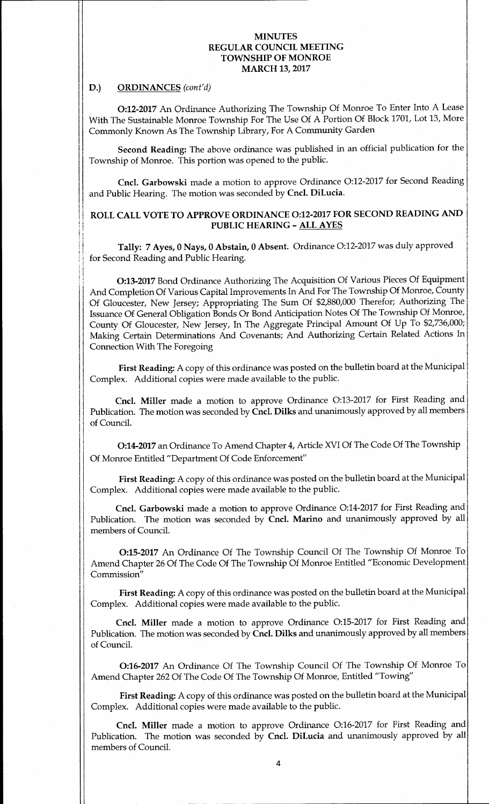# D.) ORDINANCES (cont'd)

0:12-2017 An Ordinance Authorizing The Township Of Monroe To Enter Into A Lease With The Sustainable Monroe Township For The Use Of A Portion Of Block 1701, Lot 13, More Commonly Known As The Township Library, For A Community Garden

Second Reading: The above ordinance was published in an official publication for the Township of Monroe. This portion was opened to the public.

Cncl. Garbowski made a motion to approve Ordinance O:12-2017 for Second Reading and Public Hearing. The motion was seconded by Cncl. DiLucia.

# <sup>1</sup> ROLL CALL VOTE TO APPROVE ORDINANCE 0:12-2017 FOR SECOND READING AND PUBLIC HEARING- ALL AYES

Tally: 7 Ayes, 0 Nays, 0 Abstain, 0 Absent. Ordinance O:12-2017 was duly approved for Second Reading and Public Hearing.

0:13-2017 Bond Ordinance Authorizing The Acquisition Of Various Pieces Of Equipment And Completion Of Various Capital Improvements In And For The Township Of Monroe, County Of Gloucester, New Jersey; Appropriating The Sum Of \$2,880,000 Therefor; Authorizing The Issuance Of General Obligation Bonds Or Bond Anticipation Notes Of The Township Of Monroe, <sup>1</sup> County Of Gloucester, New Jersey, In The Aggregate Principal Amount Of Up To \$2,736,000; Making Certain Determinations And Covenants; And Authorizing Certain Related Actions In <sup>I</sup> Connection With The Foregoing

First Reading: A copy of this ordinance was posted on the bulletin board at the Municipal' Complex. Additional copies were made available to the public.

Cncl. Miller made a motion to approve Ordinance O:13-2017 for First Reading and Publication. The motion was seconded by Cncl. Dilks and unanimously approved by all members of Council.

0:14-2017 an Ordinance To Amend Chapter 4, Article XVI Of The Code Of The Township Of Monroe Entitled" Department Of Code Enforcement"

First Reading: A copy of this ordinance was posted on the bulletin board at the Municipal Complex. Additional copies were made available to the public.

Cncl. Garbowski made <sup>a</sup> motion to approve Ordinance 0:14-2017 for First Reading and Publication. The motion was seconded by Cncl. Marino and unanimously approved by all members of Council.

0:15-2017 An Ordinance Of The Township Council Of The Township Of Monroe To Amend Chapter 26 Of The Code Of The Township Of Monroe Entitled "Economic Development Commission"

First Reading: A copy of this ordinance was posted on the bulletin board at the Municipal Complex. Additional copies were made available to the public.

Cncl. Miller made a motion to approve Ordinance O:15-2017 for First Reading and Publication. The motion was seconded by Cncl. Dilks and unanimously approved by all members of Council.

0:16- <sup>2017</sup> An Ordinance Of The Township Council Of The Township Of Monroe To Amend Chapter 262 Of The Code Of The Township Of Monroe, Entitled "Towing"

First Reading: A copy of this ordinance was posted on the bulletin board at the Municipal Complex. Additional copies were made available to the public.

Cncl. Miller made <sup>a</sup> motion to approve Ordinance 0:16-2017 for First Reading and Publication. The motion was seconded by Cncl. DiLucia and unanimously approved by all members of Council.